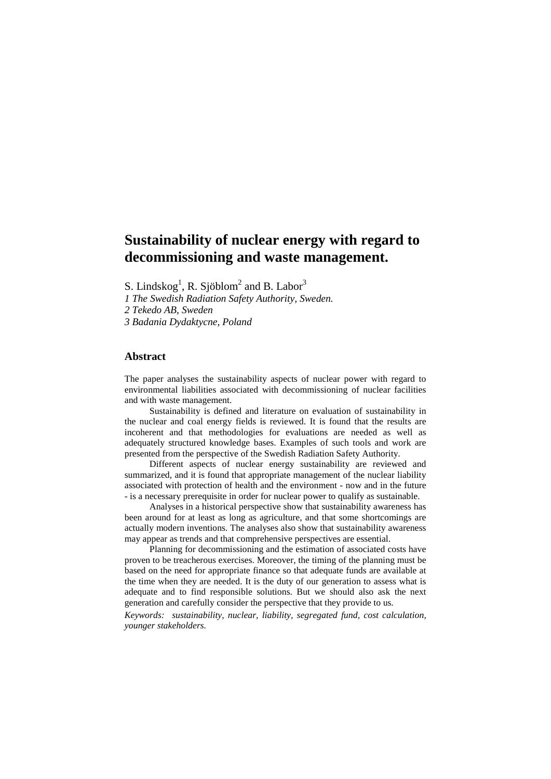# **Sustainability of nuclear energy with regard to decommissioning and waste management.**

S. Lindskog<sup>1</sup>, R. Sjöblom<sup>2</sup> and B. Labor<sup>3</sup>

*1 The Swedish Radiation Safety Authority, Sweden. 2 Tekedo AB, Sweden 3 Badania Dydaktycne, Poland*

## **Abstract**

The paper analyses the sustainability aspects of nuclear power with regard to environmental liabilities associated with decommissioning of nuclear facilities and with waste management.

Sustainability is defined and literature on evaluation of sustainability in the nuclear and coal energy fields is reviewed. It is found that the results are incoherent and that methodologies for evaluations are needed as well as adequately structured knowledge bases. Examples of such tools and work are presented from the perspective of the Swedish Radiation Safety Authority.

Different aspects of nuclear energy sustainability are reviewed and summarized, and it is found that appropriate management of the nuclear liability associated with protection of health and the environment - now and in the future - is a necessary prerequisite in order for nuclear power to qualify as sustainable.

Analyses in a historical perspective show that sustainability awareness has been around for at least as long as agriculture, and that some shortcomings are actually modern inventions. The analyses also show that sustainability awareness may appear as trends and that comprehensive perspectives are essential.

Planning for decommissioning and the estimation of associated costs have proven to be treacherous exercises. Moreover, the timing of the planning must be based on the need for appropriate finance so that adequate funds are available at the time when they are needed. It is the duty of our generation to assess what is adequate and to find responsible solutions. But we should also ask the next generation and carefully consider the perspective that they provide to us.

*Keywords: sustainability, nuclear, liability, segregated fund, cost calculation, younger stakeholders.*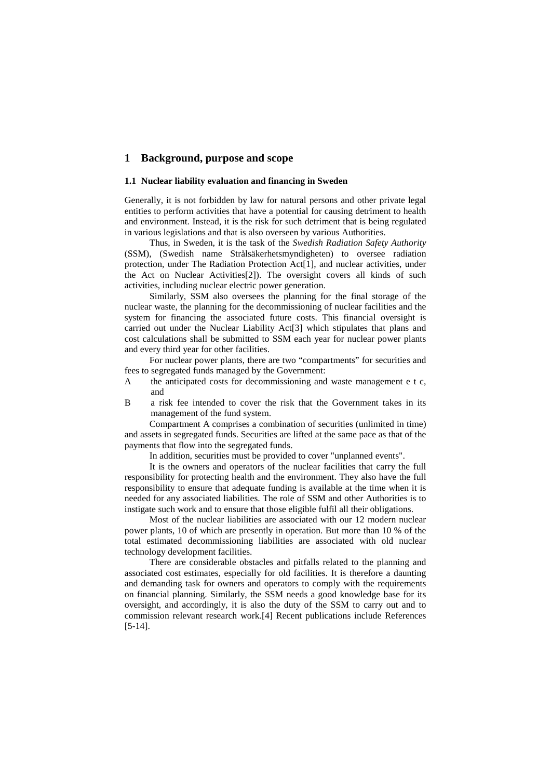## **1 Background, purpose and scope**

## **1.1 Nuclear liability evaluation and financing in Sweden**

Generally, it is not forbidden by law for natural persons and other private legal entities to perform activities that have a potential for causing detriment to health and environment. Instead, it is the risk for such detriment that is being regulated in various legislations and that is also overseen by various Authorities.

Thus, in Sweden, it is the task of the *Swedish Radiation Safety Authority*  (SSM), (Swedish name Strålsäkerhetsmyndigheten) to oversee radiation protection, under The Radiation Protection Act[1], and nuclear activities, under the Act on Nuclear Activities[2]). The oversight covers all kinds of such activities, including nuclear electric power generation.

Similarly, SSM also oversees the planning for the final storage of the nuclear waste, the planning for the decommissioning of nuclear facilities and the system for financing the associated future costs. This financial oversight is carried out under the Nuclear Liability Act[3] which stipulates that plans and cost calculations shall be submitted to SSM each year for nuclear power plants and every third year for other facilities.

For nuclear power plants, there are two "compartments" for securities and fees to segregated funds managed by the Government:

- A the anticipated costs for decommissioning and waste management e t c, and
- B a risk fee intended to cover the risk that the Government takes in its management of the fund system.

Compartment A comprises a combination of securities (unlimited in time) and assets in segregated funds. Securities are lifted at the same pace as that of the payments that flow into the segregated funds.

In addition, securities must be provided to cover "unplanned events".

It is the owners and operators of the nuclear facilities that carry the full responsibility for protecting health and the environment. They also have the full responsibility to ensure that adequate funding is available at the time when it is needed for any associated liabilities. The role of SSM and other Authorities is to instigate such work and to ensure that those eligible fulfil all their obligations.

Most of the nuclear liabilities are associated with our 12 modern nuclear power plants, 10 of which are presently in operation. But more than 10 % of the total estimated decommissioning liabilities are associated with old nuclear technology development facilities.

There are considerable obstacles and pitfalls related to the planning and associated cost estimates, especially for old facilities. It is therefore a daunting and demanding task for owners and operators to comply with the requirements on financial planning. Similarly, the SSM needs a good knowledge base for its oversight, and accordingly, it is also the duty of the SSM to carry out and to commission relevant research work.[4] Recent publications include References [5-14].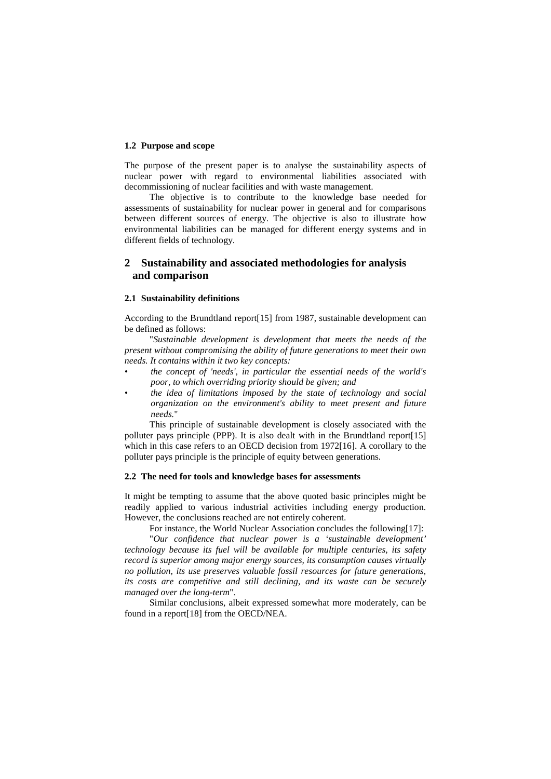## **1.2 Purpose and scope**

The purpose of the present paper is to analyse the sustainability aspects of nuclear power with regard to environmental liabilities associated with decommissioning of nuclear facilities and with waste management.

The objective is to contribute to the knowledge base needed for assessments of sustainability for nuclear power in general and for comparisons between different sources of energy. The objective is also to illustrate how environmental liabilities can be managed for different energy systems and in different fields of technology.

# **2 Sustainability and associated methodologies for analysis and comparison**

## **2.1 Sustainability definitions**

According to the Brundtland report[15] from 1987, sustainable development can be defined as follows:

"*Sustainable development is development that meets the needs of the present without compromising the ability of future generations to meet their own needs. It contains within it two key concepts:*

- *• the concept of 'needs', in particular the essential needs of the world's poor, to which overriding priority should be given; and*
- *• the idea of limitations imposed by the state of technology and social organization on the environment's ability to meet present and future needs.*"

This principle of sustainable development is closely associated with the polluter pays principle (PPP). It is also dealt with in the Brundtland report[15] which in this case refers to an OECD decision from 1972[16]. A corollary to the polluter pays principle is the principle of equity between generations.

#### **2.2 The need for tools and knowledge bases for assessments**

It might be tempting to assume that the above quoted basic principles might be readily applied to various industrial activities including energy production. However, the conclusions reached are not entirely coherent.

For instance, the World Nuclear Association concludes the following[17]: "*Our confidence that nuclear power is a 'sustainable development'* 

*technology because its fuel will be available for multiple centuries, its safety record is superior among major energy sources, its consumption causes virtually no pollution, its use preserves valuable fossil resources for future generations, its costs are competitive and still declining, and its waste can be securely managed over the long-term*".

Similar conclusions, albeit expressed somewhat more moderately, can be found in a report[18] from the OECD/NEA.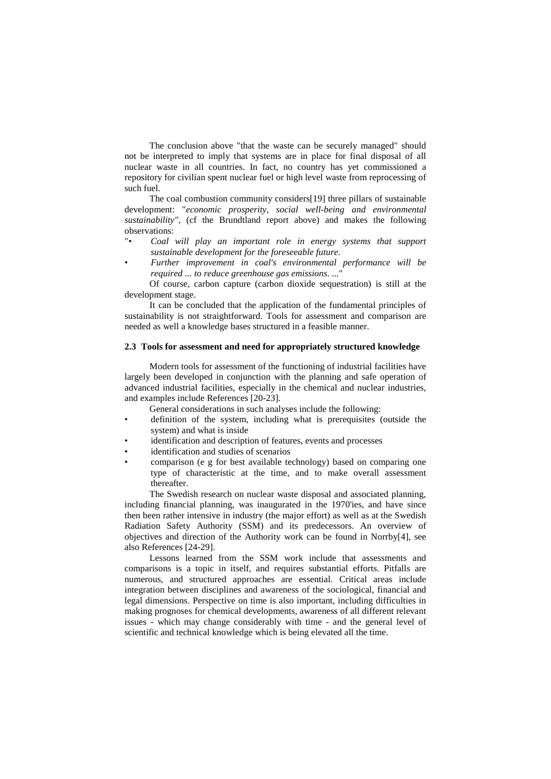The conclusion above "that the waste can be securely managed" should not be interpreted to imply that systems are in place for final disposal of all nuclear waste in all countries. In fact, no country has yet commissioned a repository for civilian spent nuclear fuel or high level waste from reprocessing of such fuel.

The coal combustion community considers[19] three pillars of sustainable development: "*economic prosperity, social well-being and environmental sustainability"*, (cf the Brundtland report above) and makes the following observations:<br> $\int_{0}^{\infty} G \circ d \cdot$ 

- "*• Coal will play an important role in energy systems that support sustainable development for the foreseeable future.*
- *• Further improvement in coal's environmental performance will be required ... to reduce greenhouse gas emissions. ...*"

Of course, carbon capture (carbon dioxide sequestration) is still at the development stage.

It can be concluded that the application of the fundamental principles of sustainability is not straightforward. Tools for assessment and comparison are needed as well a knowledge bases structured in a feasible manner.

## **2.3 Tools for assessment and need for appropriately structured knowledge**

Modern tools for assessment of the functioning of industrial facilities have largely been developed in conjunction with the planning and safe operation of advanced industrial facilities, especially in the chemical and nuclear industries, and examples include References [20-23].

General considerations in such analyses include the following:

- definition of the system, including what is prerequisites (outside the system) and what is inside
- identification and description of features, events and processes
- identification and studies of scenarios
- comparison (e g for best available technology) based on comparing one type of characteristic at the time, and to make overall assessment thereafter.

The Swedish research on nuclear waste disposal and associated planning, including financial planning, was inaugurated in the 1970'ies, and have since then been rather intensive in industry (the major effort) as well as at the Swedish Radiation Safety Authority (SSM) and its predecessors. An overview of objectives and direction of the Authority work can be found in Norrby[4], see also References [24-29].

Lessons learned from the SSM work include that assessments and comparisons is a topic in itself, and requires substantial efforts. Pitfalls are numerous, and structured approaches are essential. Critical areas include integration between disciplines and awareness of the sociological, financial and legal dimensions. Perspective on time is also important, including difficulties in making prognoses for chemical developments, awareness of all different relevant issues - which may change considerably with time - and the general level of scientific and technical knowledge which is being elevated all the time.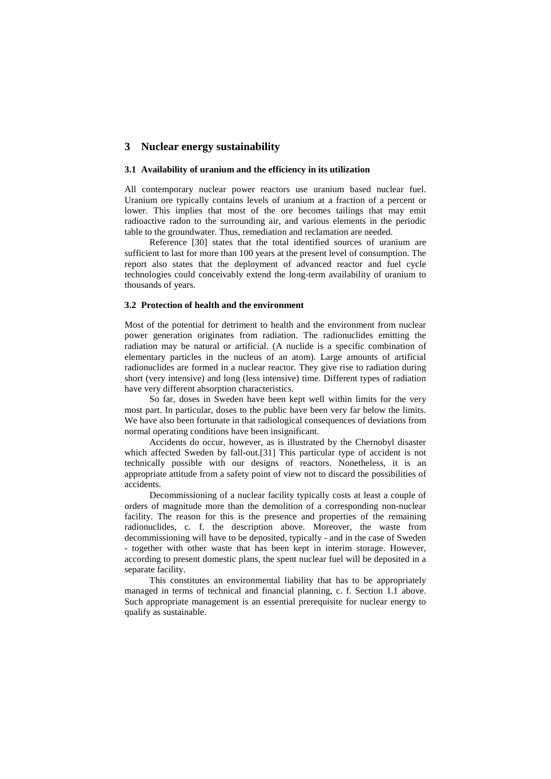## **3 Nuclear energy sustainability**

#### **3.1 Availability of uranium and the efficiency in its utilization**

All contemporary nuclear power reactors use uranium based nuclear fuel. Uranium ore typically contains levels of uranium at a fraction of a percent or lower. This implies that most of the ore becomes tailings that may emit radioactive radon to the surrounding air, and various elements in the periodic table to the groundwater. Thus, remediation and reclamation are needed.

Reference [30] states that the total identified sources of uranium are sufficient to last for more than 100 years at the present level of consumption. The report also states that the deployment of advanced reactor and fuel cycle technologies could conceivably extend the long-term availability of uranium to thousands of years.

#### **3.2 Protection of health and the environment**

Most of the potential for detriment to health and the environment from nuclear power generation originates from radiation. The radionuclides emitting the radiation may be natural or artificial. (A nuclide is a specific combination of elementary particles in the nucleus of an atom). Large amounts of artificial radionuclides are formed in a nuclear reactor. They give rise to radiation during short (very intensive) and long (less intensive) time. Different types of radiation have very different absorption characteristics.

So far, doses in Sweden have been kept well within limits for the very most part. In particular, doses to the public have been very far below the limits. We have also been fortunate in that radiological consequences of deviations from normal operating conditions have been insignificant.

Accidents do occur, however, as is illustrated by the Chernobyl disaster which affected Sweden by fall-out.[31] This particular type of accident is not technically possible with our designs of reactors. Nonetheless, it is an appropriate attitude from a safety point of view not to discard the possibilities of accidents.

Decommissioning of a nuclear facility typically costs at least a couple of orders of magnitude more than the demolition of a corresponding non-nuclear facility. The reason for this is the presence and properties of the remaining radionuclides, c. f. the description above. Moreover, the waste from decommissioning will have to be deposited, typically - and in the case of Sweden - together with other waste that has been kept in interim storage. However, according to present domestic plans, the spent nuclear fuel will be deposited in a separate facility.

This constitutes an environmental liability that has to be appropriately managed in terms of technical and financial planning, c. f. Section 1.1 above. Such appropriate management is an essential prerequisite for nuclear energy to qualify as sustainable.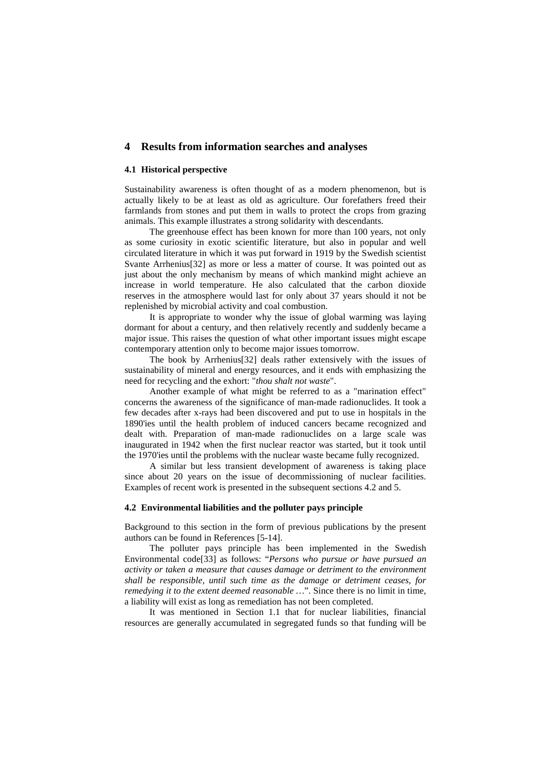## **4 Results from information searches and analyses**

## **4.1 Historical perspective**

Sustainability awareness is often thought of as a modern phenomenon, but is actually likely to be at least as old as agriculture. Our forefathers freed their farmlands from stones and put them in walls to protect the crops from grazing animals. This example illustrates a strong solidarity with descendants.

The greenhouse effect has been known for more than 100 years, not only as some curiosity in exotic scientific literature, but also in popular and well circulated literature in which it was put forward in 1919 by the Swedish scientist Svante Arrhenius[32] as more or less a matter of course. It was pointed out as just about the only mechanism by means of which mankind might achieve an increase in world temperature. He also calculated that the carbon dioxide reserves in the atmosphere would last for only about 37 years should it not be replenished by microbial activity and coal combustion.

It is appropriate to wonder why the issue of global warming was laying dormant for about a century, and then relatively recently and suddenly became a major issue. This raises the question of what other important issues might escape contemporary attention only to become major issues tomorrow.

The book by Arrhenius[32] deals rather extensively with the issues of sustainability of mineral and energy resources, and it ends with emphasizing the need for recycling and the exhort: "*thou shalt not waste*".

Another example of what might be referred to as a "marination effect" concerns the awareness of the significance of man-made radionuclides. It took a few decades after x-rays had been discovered and put to use in hospitals in the 1890'ies until the health problem of induced cancers became recognized and dealt with. Preparation of man-made radionuclides on a large scale was inaugurated in 1942 when the first nuclear reactor was started, but it took until the 1970'ies until the problems with the nuclear waste became fully recognized.

A similar but less transient development of awareness is taking place since about 20 years on the issue of decommissioning of nuclear facilities. Examples of recent work is presented in the subsequent sections 4.2 and 5.

## **4.2 Environmental liabilities and the polluter pays principle**

Background to this section in the form of previous publications by the present authors can be found in References [5-14].

The polluter pays principle has been implemented in the Swedish Environmental code[33] as follows: "*Persons who pursue or have pursued an activity or taken a measure that causes damage or detriment to the environment shall be responsible, until such time as the damage or detriment ceases, for remedying it to the extent deemed reasonable …*". Since there is no limit in time, a liability will exist as long as remediation has not been completed.

It was mentioned in Section 1.1 that for nuclear liabilities, financial resources are generally accumulated in segregated funds so that funding will be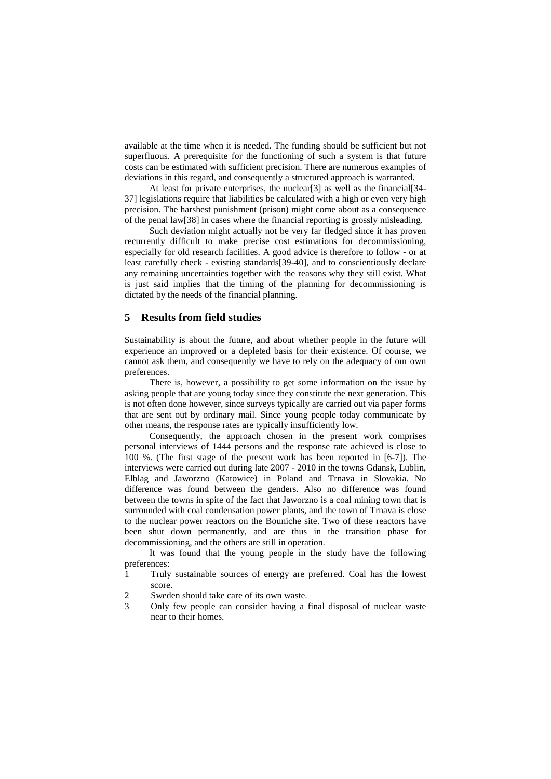available at the time when it is needed. The funding should be sufficient but not superfluous. A prerequisite for the functioning of such a system is that future costs can be estimated with sufficient precision. There are numerous examples of deviations in this regard, and consequently a structured approach is warranted.

At least for private enterprises, the nuclear[3] as well as the financial[34- 37] legislations require that liabilities be calculated with a high or even very high precision. The harshest punishment (prison) might come about as a consequence of the penal law[38] in cases where the financial reporting is grossly misleading.

Such deviation might actually not be very far fledged since it has proven recurrently difficult to make precise cost estimations for decommissioning, especially for old research facilities. A good advice is therefore to follow - or at least carefully check - existing standards[39-40], and to conscientiously declare any remaining uncertainties together with the reasons why they still exist. What is just said implies that the timing of the planning for decommissioning is dictated by the needs of the financial planning.

## **5 Results from field studies**

Sustainability is about the future, and about whether people in the future will experience an improved or a depleted basis for their existence. Of course, we cannot ask them, and consequently we have to rely on the adequacy of our own preferences.

There is, however, a possibility to get some information on the issue by asking people that are young today since they constitute the next generation. This is not often done however, since surveys typically are carried out via paper forms that are sent out by ordinary mail. Since young people today communicate by other means, the response rates are typically insufficiently low.

Consequently, the approach chosen in the present work comprises personal interviews of 1444 persons and the response rate achieved is close to 100 %. (The first stage of the present work has been reported in [6-7]). The interviews were carried out during late 2007 - 2010 in the towns Gdansk, Lublin, Elblag and Jaworzno (Katowice) in Poland and Trnava in Slovakia. No difference was found between the genders. Also no difference was found between the towns in spite of the fact that Jaworzno is a coal mining town that is surrounded with coal condensation power plants, and the town of Trnava is close to the nuclear power reactors on the Bouniche site. Two of these reactors have been shut down permanently, and are thus in the transition phase for decommissioning, and the others are still in operation.

It was found that the young people in the study have the following preferences:

- 1 Truly sustainable sources of energy are preferred. Coal has the lowest score.
- 2 Sweden should take care of its own waste.<br>3 Only few people can consider having a
- 3 Only few people can consider having a final disposal of nuclear waste near to their homes.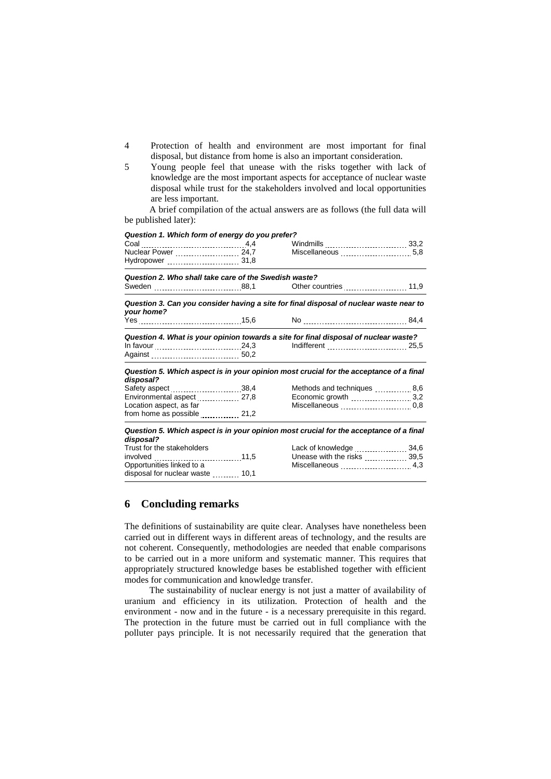- 4 Protection of health and environment are most important for final disposal, but distance from home is also an important consideration.
- 5 Young people feel that unease with the risks together with lack of knowledge are the most important aspects for acceptance of nuclear waste disposal while trust for the stakeholders involved and local opportunities are less important.

A brief compilation of the actual answers are as follows (the full data will be published later):

| Question 1. Which form of energy do you prefer?       |                                                                                        |  |
|-------------------------------------------------------|----------------------------------------------------------------------------------------|--|
| Coal 2,4                                              |                                                                                        |  |
| Nuclear Power  24,7                                   |                                                                                        |  |
|                                                       |                                                                                        |  |
| Question 2. Who shall take care of the Swedish waste? |                                                                                        |  |
|                                                       |                                                                                        |  |
| your home?                                            | Question 3. Can you consider having a site for final disposal of nuclear waste near to |  |
|                                                       |                                                                                        |  |
|                                                       | Question 4. What is your opinion towards a site for final disposal of nuclear waste?   |  |
|                                                       | Indifferent 25,5                                                                       |  |
|                                                       |                                                                                        |  |
| disposal?                                             | Question 5. Which aspect is in your opinion most crucial for the acceptance of a final |  |
|                                                       | Methods and techniques 3,6                                                             |  |
| Environmental aspect 27,8                             |                                                                                        |  |
| Location aspect, as far                               |                                                                                        |  |
| from home as possible 21,2                            |                                                                                        |  |
|                                                       | Question 5. Which aspect is in your opinion most crucial for the acceptance of a final |  |
| disposal?                                             |                                                                                        |  |
| Trust for the stakeholders                            |                                                                                        |  |
| involved _________________________________11,5        |                                                                                        |  |
| Opportunities linked to a                             |                                                                                        |  |
| disposal for nuclear waste  10,1                      |                                                                                        |  |

# **6 Concluding remarks**

The definitions of sustainability are quite clear. Analyses have nonetheless been carried out in different ways in different areas of technology, and the results are not coherent. Consequently, methodologies are needed that enable comparisons to be carried out in a more uniform and systematic manner. This requires that appropriately structured knowledge bases be established together with efficient modes for communication and knowledge transfer.

The sustainability of nuclear energy is not just a matter of availability of uranium and efficiency in its utilization. Protection of health and the environment - now and in the future - is a necessary prerequisite in this regard. The protection in the future must be carried out in full compliance with the polluter pays principle. It is not necessarily required that the generation that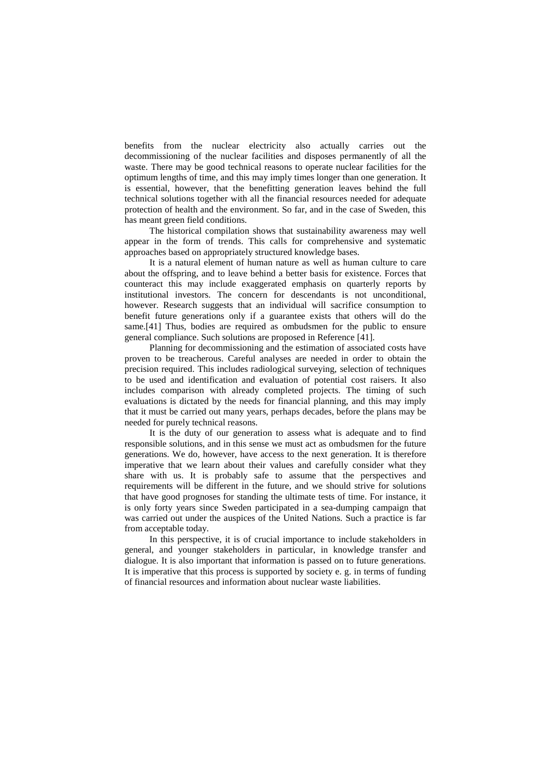benefits from the nuclear electricity also actually carries out the decommissioning of the nuclear facilities and disposes permanently of all the waste. There may be good technical reasons to operate nuclear facilities for the optimum lengths of time, and this may imply times longer than one generation. It is essential, however, that the benefitting generation leaves behind the full technical solutions together with all the financial resources needed for adequate protection of health and the environment. So far, and in the case of Sweden, this has meant green field conditions.

The historical compilation shows that sustainability awareness may well appear in the form of trends. This calls for comprehensive and systematic approaches based on appropriately structured knowledge bases.

It is a natural element of human nature as well as human culture to care about the offspring, and to leave behind a better basis for existence. Forces that counteract this may include exaggerated emphasis on quarterly reports by institutional investors. The concern for descendants is not unconditional, however. Research suggests that an individual will sacrifice consumption to benefit future generations only if a guarantee exists that others will do the same.[41] Thus, bodies are required as ombudsmen for the public to ensure general compliance. Such solutions are proposed in Reference [41].

Planning for decommissioning and the estimation of associated costs have proven to be treacherous. Careful analyses are needed in order to obtain the precision required. This includes radiological surveying, selection of techniques to be used and identification and evaluation of potential cost raisers. It also includes comparison with already completed projects. The timing of such evaluations is dictated by the needs for financial planning, and this may imply that it must be carried out many years, perhaps decades, before the plans may be needed for purely technical reasons.

It is the duty of our generation to assess what is adequate and to find responsible solutions, and in this sense we must act as ombudsmen for the future generations. We do, however, have access to the next generation. It is therefore imperative that we learn about their values and carefully consider what they share with us. It is probably safe to assume that the perspectives and requirements will be different in the future, and we should strive for solutions that have good prognoses for standing the ultimate tests of time. For instance, it is only forty years since Sweden participated in a sea-dumping campaign that was carried out under the auspices of the United Nations. Such a practice is far from acceptable today.

In this perspective, it is of crucial importance to include stakeholders in general, and younger stakeholders in particular, in knowledge transfer and dialogue. It is also important that information is passed on to future generations. It is imperative that this process is supported by society e. g. in terms of funding of financial resources and information about nuclear waste liabilities.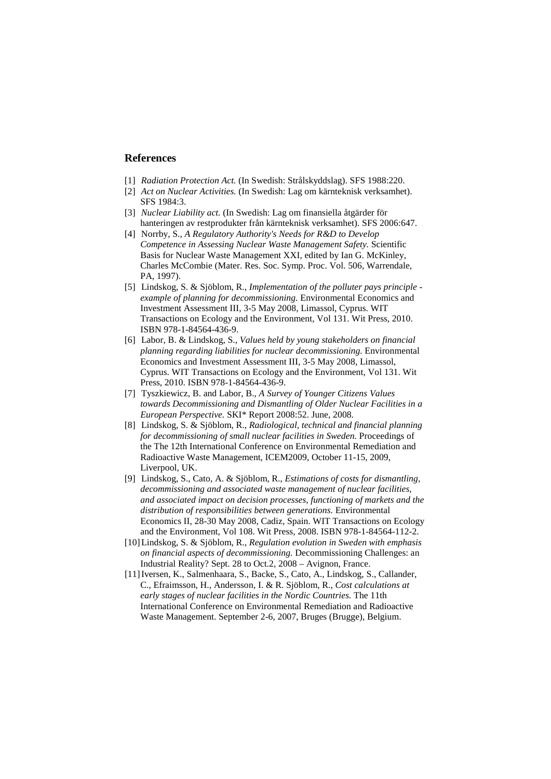## **References**

- [1] *Radiation Protection Act.* (In Swedish: Strålskyddslag). SFS 1988:220.
- [2] *Act on Nuclear Activities.* (In Swedish: Lag om kärnteknisk verksamhet). SFS 1984:3.
- [3] *Nuclear Liability act.* (In Swedish: Lag om finansiella åtgärder för hanteringen av restprodukter från kärnteknisk verksamhet). SFS 2006:647.
- [4] Norrby, S., *A Regulatory Authority's Needs for R&D to Develop Competence in Assessing Nuclear Waste Management Safety.* Scientific Basis for Nuclear Waste Management XXI, edited by Ian G. McKinley, Charles McCombie (Mater. Res. Soc. Symp. Proc. Vol. 506, Warrendale, PA, 1997).
- [5] Lindskog, S. & Sjöblom, R., *Implementation of the polluter pays principle example of planning for decommissioning.* Environmental Economics and Investment Assessment III, 3-5 May 2008, Limassol, Cyprus. WIT Transactions on Ecology and the Environment, Vol 131. Wit Press, 2010. ISBN 978-1-84564-436-9.
- [6] Labor, B. & Lindskog, S., *Values held by young stakeholders on financial planning regarding liabilities for nuclear decommissioning.* Environmental Economics and Investment Assessment III, 3-5 May 2008, Limassol, Cyprus. WIT Transactions on Ecology and the Environment, Vol 131. Wit Press, 2010. ISBN 978-1-84564-436-9.
- [7] Tyszkiewicz, B. and Labor, B., *A Survey of Younger Citizens Values towards Decommissioning and Dismantling of Older Nuclear Facilities in a European Perspective.* SKI\* Report 2008:52. June, 2008.
- [8] Lindskog, S. & Sjöblom, R., *Radiological, technical and financial planning for decommissioning of small nuclear facilities in Sweden.* Proceedings of the The 12th International Conference on Environmental Remediation and Radioactive Waste Management, ICEM2009, October 11-15, 2009, Liverpool, UK.
- [9] Lindskog, S., Cato, A. & Sjöblom, R., *Estimations of costs for dismantling, decommissioning and associated waste management of nuclear facilities, and associated impact on decision processes, functioning of markets and the distribution of responsibilities between generations.* Environmental Economics II, 28-30 May 2008, Cadiz, Spain. WIT Transactions on Ecology and the Environment, Vol 108. Wit Press, 2008. ISBN 978-1-84564-112-2.
- [10]Lindskog, S. & Sjöblom, R., *Regulation evolution in Sweden with emphasis on financial aspects of decommissioning.* Decommissioning Challenges: an Industrial Reality? Sept. 28 to Oct.2, 2008 – Avignon, France.
- [11] Iversen, K., Salmenhaara, S., Backe, S., Cato, A., Lindskog, S., Callander, C., Efraimsson, H., Andersson, I. & R. Sjöblom, R., *Cost calculations at early stages of nuclear facilities in the Nordic Countries.* The 11th International Conference on Environmental Remediation and Radioactive Waste Management. September 2-6, 2007, Bruges (Brugge), Belgium.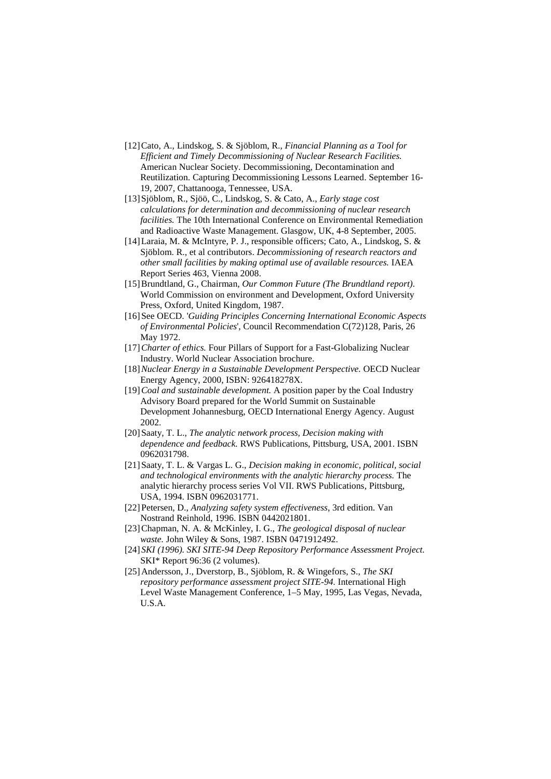- [12]Cato, A., Lindskog, S. & Sjöblom, R., *Financial Planning as a Tool for Efficient and Timely Decommissioning of Nuclear Research Facilities.*  American Nuclear Society. Decommissioning, Decontamination and Reutilization. Capturing Decommissioning Lessons Learned. September 16- 19, 2007, Chattanooga, Tennessee, USA.
- [13]Sjöblom, R., Sjöö, C., Lindskog, S. & Cato, A., *Early stage cost calculations for determination and decommissioning of nuclear research facilities.* The 10th International Conference on Environmental Remediation and Radioactive Waste Management. Glasgow, UK, 4-8 September, 2005.
- [14]Laraia, M. & McIntyre, P. J., responsible officers; Cato, A., Lindskog, S. & Sjöblom. R., et al contributors. *Decommissioning of research reactors and other small facilities by making optimal use of available resources.* IAEA Report Series 463, Vienna 2008.
- [15]Brundtland, G., Chairman, *Our Common Future (The Brundtland report)*. World Commission on environment and Development, Oxford University Press, Oxford, United Kingdom, 1987.
- [16]See OECD. '*Guiding Principles Concerning International Economic Aspects of Environmental Policies*', Council Recommendation C(72)128, Paris, 26 May 1972.
- [17]*Charter of ethics.* Four Pillars of Support for a Fast-Globalizing Nuclear Industry. World Nuclear Association brochure.
- [18]*Nuclear Energy in a Sustainable Development Perspective.* OECD Nuclear Energy Agency, 2000, ISBN: 926418278X.
- [19]*Coal and sustainable development.* A position paper by the Coal Industry Advisory Board prepared for the World Summit on Sustainable Development Johannesburg, OECD International Energy Agency. August 2002.
- [20]Saaty, T. L., *The analytic network process, Decision making with dependence and feedback.* RWS Publications, Pittsburg, USA, 2001. ISBN 0962031798.
- [21]Saaty, T. L. & Vargas L. G., *Decision making in economic, political, social and technological environments with the analytic hierarchy process.* The analytic hierarchy process series Vol VII. RWS Publications, Pittsburg, USA, 1994. ISBN 0962031771.
- [22]Petersen, D., *Analyzing safety system effectiveness*, 3rd edition. Van Nostrand Reinhold, 1996. ISBN 0442021801.
- [23]Chapman, N. A. & McKinley, I. G., *The geological disposal of nuclear waste.* John Wiley & Sons, 1987. ISBN 0471912492.
- [24] *SKI (1996). SKI SITE-94 Deep Repository Performance Assessment Project.*  SKI\* Report 96:36 (2 volumes).
- [25]Andersson, J., Dverstorp, B., Sjöblom, R. & Wingefors, S., *The SKI repository performance assessment project SITE-94.* International High Level Waste Management Conference, 1–5 May, 1995, Las Vegas, Nevada, U.S.A.